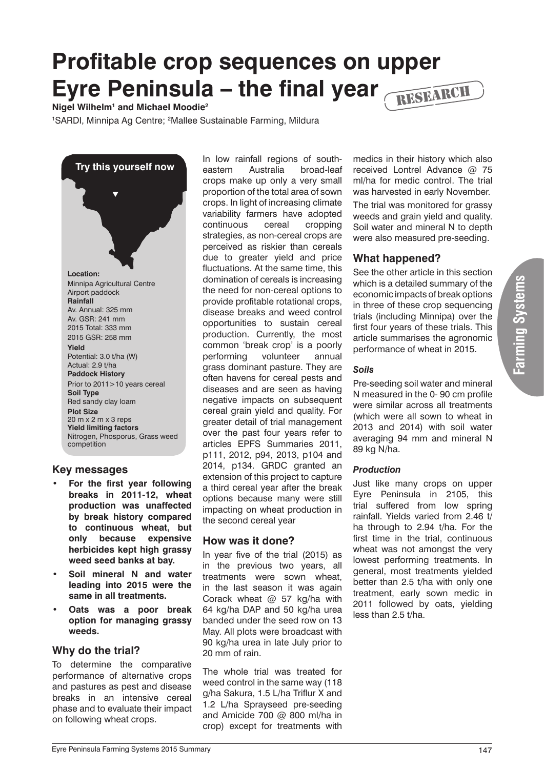# **Profitable crop sequences on upper Eyre Peninsula – the final year**  RESEARCH

**Nigel Wilhelm1 and Michael Moodie2**

<sup>1</sup>SARDI, Minnipa Ag Centre; <sup>2</sup>Mallee Sustainable Farming, Mildura

**Try this yourself now Location:** Minnipa Agricultural Centre Airport paddock **Rainfall** Av. Annual: 325 mm Av. GSR: 241 mm 2015 Total: 333 mm 2015 GSR: 258 mm **Yield** Potential: 3.0 t/ha (W) Actual: 2.9 t/ha **Paddock History** Prior to 2011>10 years cereal **Soil Type** Red sandy clay loam **Plot Size** 20 m x 2 m x 3 reps **Yield limiting factors** Nitrogen, Phosporus, Grass weed competition  $\blacktriangledown$ 

## **Key messages**

- For the first year following **breaks in 2011-12, wheat production was unaffected by break history compared to continuous wheat, but only because expensive herbicides kept high grassy weed seed banks at bay.**
- **Soil mineral N and water leading into 2015 were the same in all treatments.**
- **Oats was a poor break option for managing grassy weeds.**

## **Why do the trial?**

To determine the comparative performance of alternative crops and pastures as pest and disease breaks in an intensive cereal phase and to evaluate their impact on following wheat crops.

In low rainfall regions of southeastern Australia broad-leaf crops make up only a very small proportion of the total area of sown crops. In light of increasing climate variability farmers have adopted continuous cereal cropping strategies, as non-cereal crops are perceived as riskier than cereals due to greater yield and price fluctuations. At the same time, this domination of cereals is increasing the need for non-cereal options to provide profitable rotational crops, disease breaks and weed control opportunities to sustain cereal production. Currently, the most common 'break crop' is a poorly performing volunteer annual grass dominant pasture. They are often havens for cereal pests and diseases and are seen as having negative impacts on subsequent cereal grain yield and quality. For greater detail of trial management over the past four years refer to articles EPFS Summaries 2011, p111, 2012, p94, 2013, p104 and 2014, p134. GRDC granted an extension of this project to capture a third cereal year after the break options because many were still impacting on wheat production in the second cereal year

#### **How was it done?**

In year five of the trial (2015) as in the previous two years, all treatments were sown wheat, in the last season it was again Corack wheat @ 57 kg/ha with 64 kg/ha DAP and 50 kg/ha urea banded under the seed row on 13 May. All plots were broadcast with 90 kg/ha urea in late July prior to 20 mm of rain.

The whole trial was treated for weed control in the same way (118 g/ha Sakura, 1.5 L/ha Triflur X and 1.2 L/ha Sprayseed pre-seeding and Amicide 700 @ 800 ml/ha in crop) except for treatments with

medics in their history which also received Lontrel Advance @ 75 ml/ha for medic control. The trial was harvested in early November.

The trial was monitored for grassy weeds and grain yield and quality. Soil water and mineral N to depth were also measured pre-seeding.

## **What happened?**

See the other article in this section which is a detailed summary of the economic impacts of break options in three of these crop sequencing trials (including Minnipa) over the first four years of these trials. This article summarises the agronomic performance of wheat in 2015.

#### *Soils*

Pre-seeding soil water and mineral N measured in the 0- 90 cm profile were similar across all treatments (which were all sown to wheat in 2013 and 2014) with soil water averaging 94 mm and mineral N 89 kg N/ha.

#### *Production*

Just like many crops on upper Eyre Peninsula in 2105, this trial suffered from low spring rainfall. Yields varied from 2.46 t/ ha through to 2.94 t/ha. For the first time in the trial, continuous wheat was not amongst the very lowest performing treatments. In general, most treatments yielded better than 2.5 t/ha with only one treatment, early sown medic in 2011 followed by oats, yielding less than 2.5 t/ha.